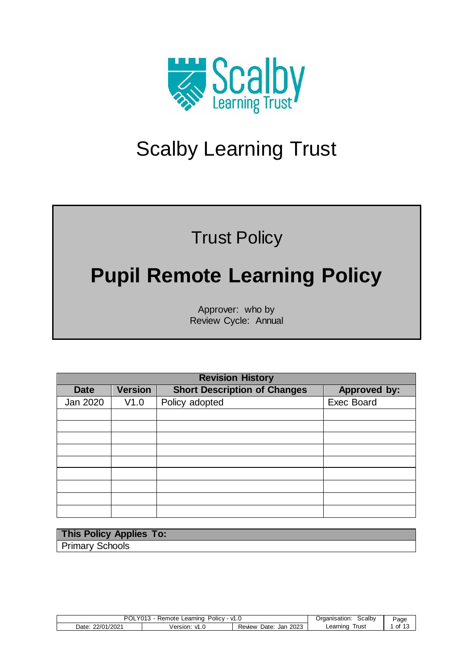

# Scalby Learning Trust

### Trust Policy

## **Pupil Remote Learning Policy**

Approver: who by Review Cycle: Annual

|             | <b>Revision History</b> |                                     |                   |  |  |
|-------------|-------------------------|-------------------------------------|-------------------|--|--|
| <b>Date</b> | <b>Version</b>          | <b>Short Description of Changes</b> | Approved by:      |  |  |
| Jan 2020    | V1.0                    | Policy adopted                      | <b>Exec Board</b> |  |  |
|             |                         |                                     |                   |  |  |
|             |                         |                                     |                   |  |  |
|             |                         |                                     |                   |  |  |
|             |                         |                                     |                   |  |  |
|             |                         |                                     |                   |  |  |
|             |                         |                                     |                   |  |  |
|             |                         |                                     |                   |  |  |
|             |                         |                                     |                   |  |  |
|             |                         |                                     |                   |  |  |

| This Policy Applies To: |  |
|-------------------------|--|
| <b>Primary Schools</b>  |  |

| DC.<br>Policy<br>Ől<br>∟earnıno<br>mote<br>VI.<br>__ |                  |                               | Scalby<br>Jrganisation: | $\overline{\phantom{a}}$<br>$P$ aqe |
|------------------------------------------------------|------------------|-------------------------------|-------------------------|-------------------------------------|
| 22/01/2021<br>Date:<br>ے∪∠ 7                         | Version.<br>VI.J | 2023<br>Date:<br>Jan<br>Revew | l rus:<br>∟earnınc      | Οt                                  |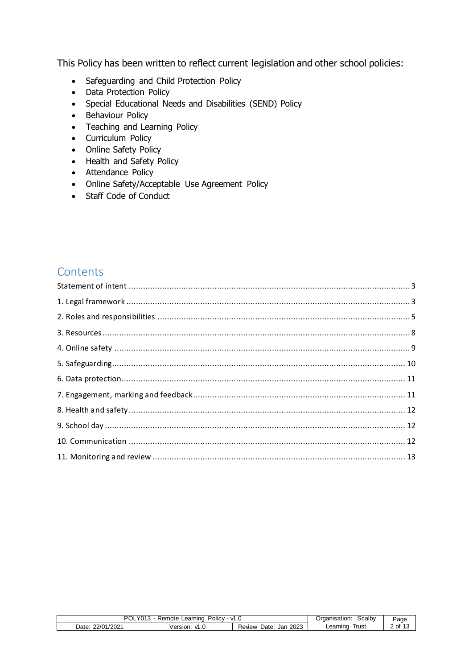This Policy has been written to reflect current legislation and other school policies:

- Safeguarding and Child Protection Policy
- Data Protection Policy
- Special Educational Needs and Disabilities (SEND) Policy
- Behaviour Policy
- Teaching and Learning Policy
- Curriculum Policy
- Online Safety Policy
- Health and Safety Policy
- Attendance Policy
- Online Safety/Acceptable Use Agreement Policy
- Staff Code of Conduct

### **Contents**

<span id="page-1-0"></span>

| 37042<br>וחם<br>Policy<br>Learning<br>Remote<br>V1.0<br>UL |                    |                               | Scalby<br>Organisation: | Page                                    |
|------------------------------------------------------------|--------------------|-------------------------------|-------------------------|-----------------------------------------|
| /2021<br>22/01<br>Date:                                    | ersion.<br>١n<br>u | 2023<br>Date:<br>Jan<br>Revew | Irust<br>Learning       | $\le$ of 1 <sup><math>\sim</math></sup> |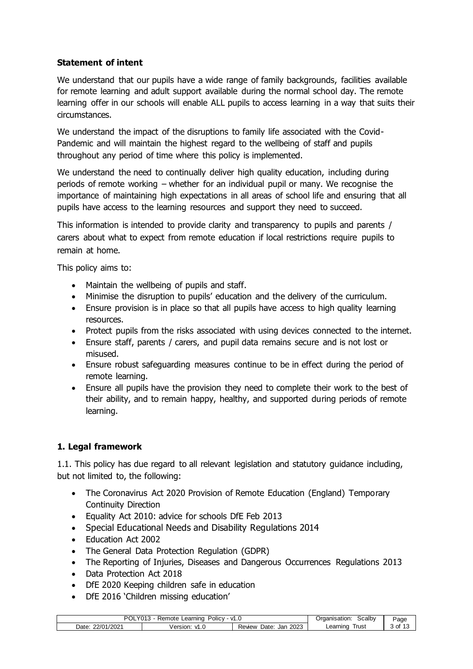#### **Statement of intent**

We understand that our pupils have a wide range of family backgrounds, facilities available for remote learning and adult support available during the normal school day. The remote learning offer in our schools will enable ALL pupils to access learning in a way that suits their circumstances.

We understand the impact of the disruptions to family life associated with the Covid-Pandemic and will maintain the highest regard to the wellbeing of staff and pupils throughout any period of time where this policy is implemented.

We understand the need to continually deliver high quality education, including during periods of remote working – whether for an individual pupil or many. We recognise the importance of maintaining high expectations in all areas of school life and ensuring that all pupils have access to the learning resources and support they need to succeed.

This information is intended to provide clarity and transparency to pupils and parents / carers about what to expect from remote education if local restrictions require pupils to remain at home.

This policy aims to:

- Maintain the wellbeing of pupils and staff.
- Minimise the disruption to pupils' education and the delivery of the curriculum.
- Ensure provision is in place so that all pupils have access to high quality learning resources.
- Protect pupils from the risks associated with using devices connected to the internet.
- Ensure staff, parents / carers, and pupil data remains secure and is not lost or misused.
- Ensure robust safeguarding measures continue to be in effect during the period of remote learning.
- Ensure all pupils have the provision they need to complete their work to the best of their ability, and to remain happy, healthy, and supported during periods of remote learning.

#### <span id="page-2-0"></span>**1. Legal framework**

1.1. This policy has due regard to all relevant legislation and statutory guidance including, but not limited to, the following:

- The Coronavirus Act 2020 Provision of Remote Education (England) Temporary Continuity Direction
- Equality Act 2010: advice for schools DfE Feb 2013
- Special Educational Needs and Disability Regulations 2014
- Education Act 2002
- The General Data Protection Regulation (GDPR)
- The Reporting of Injuries, Diseases and Dangerous Occurrences Regulations 2013
- Data Protection Act 2018
- DfE 2020 Keeping children safe in education
- DfE 2016 'Children missing education'

| וחם<br>∟earning<br>v<br>Remote<br>Policy<br>OĽ.<br>υ<br>. |                  |                                           | <b>Scalbv</b><br>raanisation: | Page    |
|-----------------------------------------------------------|------------------|-------------------------------------------|-------------------------------|---------|
| '2021<br>22/01<br>Date                                    | Version.<br>ں. ו | 2023<br>⊃ate <sup>.</sup><br>Jar<br>Revew | l rust<br>Learning            | .<br>ОI |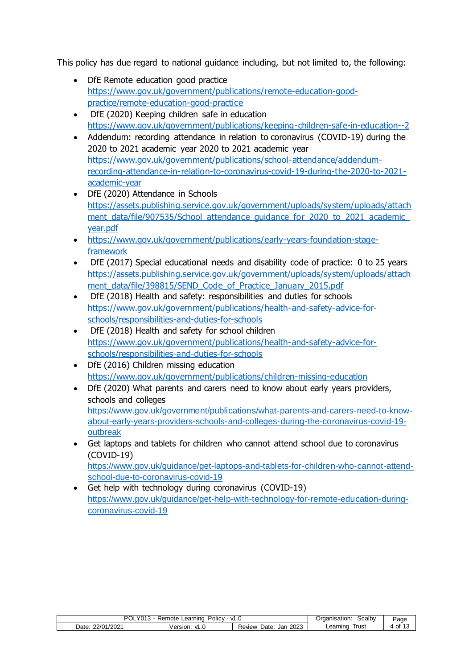This policy has due regard to national guidance including, but not limited to, the following:

- DfE Remote education good practice [https://www.gov.uk/government/publications/remote-education-good](https://www.gov.uk/government/publications/remote-education-good-practice/remote-education-good-practice)[practice/remote-education-good-practice](https://www.gov.uk/government/publications/remote-education-good-practice/remote-education-good-practice)
- DfE (2020) Keeping children safe in education <https://www.gov.uk/government/publications/keeping-children-safe-in-education--2>
- Addendum: recording attendance in relation to coronavirus (COVID-19) during the 2020 to 2021 academic year 2020 to 2021 academic year [https://www.gov.uk/government/publications/school-attendance/addendum](https://www.gov.uk/government/publications/school-attendance/addendum-recording-attendance-in-relation-to-coronavirus-covid-19-during-the-2020-to-2021-academic-year)[recording-attendance-in-relation-to-coronavirus-covid-19-during-the-2020-to-2021](https://www.gov.uk/government/publications/school-attendance/addendum-recording-attendance-in-relation-to-coronavirus-covid-19-during-the-2020-to-2021-academic-year) [academic-year](https://www.gov.uk/government/publications/school-attendance/addendum-recording-attendance-in-relation-to-coronavirus-covid-19-during-the-2020-to-2021-academic-year)
- DfE (2020) Attendance in Schools [https://assets.publishing.service.gov.uk/government/uploads/system/uploads/attach](https://assets.publishing.service.gov.uk/government/uploads/system/uploads/attachment_data/file/907535/School_attendance_guidance_for_2020_to_2021_academic_year.pdf) ment\_data/file/907535/School\_attendance\_quidance\_for\_2020\_to\_2021\_academic [year.pdf](https://assets.publishing.service.gov.uk/government/uploads/system/uploads/attachment_data/file/907535/School_attendance_guidance_for_2020_to_2021_academic_year.pdf)
- [https://www.gov.uk/government/publications/early-years-foundation-stage](https://www.gov.uk/government/publications/early-years-foundation-stage-framework)[framework](https://www.gov.uk/government/publications/early-years-foundation-stage-framework)
- DfE (2017) Special educational needs and disability code of practice: 0 to 25 years [https://assets.publishing.service.gov.uk/government/uploads/system/uploads/attach](https://assets.publishing.service.gov.uk/government/uploads/system/uploads/attachment_data/file/398815/SEND_Code_of_Practice_January_2015.pdf) [ment\\_data/file/398815/SEND\\_Code\\_of\\_Practice\\_January\\_2015.pdf](https://assets.publishing.service.gov.uk/government/uploads/system/uploads/attachment_data/file/398815/SEND_Code_of_Practice_January_2015.pdf)
- DfE (2018) Health and safety: responsibilities and duties for schools [https://www.gov.uk/government/publications/health-and-safety-advice-for](https://www.gov.uk/government/publications/health-and-safety-advice-for-schools/responsibilities-and-duties-for-schools)[schools/responsibilities-and-duties-for-schools](https://www.gov.uk/government/publications/health-and-safety-advice-for-schools/responsibilities-and-duties-for-schools)
- DfE (2018) Health and safety for school children [https://www.gov.uk/government/publications/health-and-safety-advice-for](https://www.gov.uk/government/publications/health-and-safety-advice-for-schools/responsibilities-and-duties-for-schools)[schools/responsibilities-and-duties-for-schools](https://www.gov.uk/government/publications/health-and-safety-advice-for-schools/responsibilities-and-duties-for-schools)
- DfE (2016) Children missing education <https://www.gov.uk/government/publications/children-missing-education>
- DfE (2020) What parents and carers need to know about early years providers, schools and colleges [https://www.gov.uk/government/publications/what-parents-and-carers-need-to-know](https://www.gov.uk/government/publications/what-parents-and-carers-need-to-know-about-early-years-providers-schools-and-colleges-during-the-coronavirus-covid-19-outbreak)[about-early-years-providers-schools-and-colleges-during-the-coronavirus-covid-19](https://www.gov.uk/government/publications/what-parents-and-carers-need-to-know-about-early-years-providers-schools-and-colleges-during-the-coronavirus-covid-19-outbreak) [outbreak](https://www.gov.uk/government/publications/what-parents-and-carers-need-to-know-about-early-years-providers-schools-and-colleges-during-the-coronavirus-covid-19-outbreak)
- Get laptops and tablets for children who cannot attend school due to coronavirus (COVID-19) [https://www.gov.uk/guidance/get-laptops-and-tablets-for-children-who-cannot-attend-](https://www.gov.uk/guidance/get-laptops-and-tablets-for-children-who-cannot-attend-school-due-to-coronavirus-covid-19)

[school-due-to-coronavirus-covid-19](https://www.gov.uk/guidance/get-laptops-and-tablets-for-children-who-cannot-attend-school-due-to-coronavirus-covid-19) Get help with technology during coronavirus (COVID-19)

[https://www.gov.uk/guidance/get-help-with-technology-for-remote-education-during](https://www.gov.uk/guidance/get-help-with-technology-for-remote-education-during-coronavirus-covid-19)[coronavirus-covid-19](https://www.gov.uk/guidance/get-help-with-technology-for-remote-education-during-coronavirus-covid-19)

| $Y013$ .<br>מח<br>⊃olic∨<br>Learning<br>Remote<br>v1.⊾ |                  |                               | Scalby<br>Organisation: | Page |
|--------------------------------------------------------|------------------|-------------------------------|-------------------------|------|
| 1/2021<br>22/01<br>Date:                               | Version:<br>vi.u | 2023<br>Date:<br>Revew<br>Jar | Trust<br>Learning       | OI   |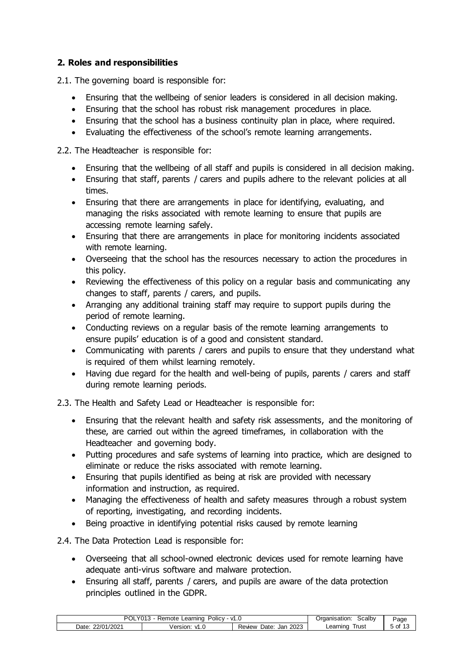#### <span id="page-4-0"></span>**2. Roles and responsibilities**

2.1. The governing board is responsible for:

- Ensuring that the wellbeing of senior leaders is considered in all decision making.
- Ensuring that the school has robust risk management procedures in place.
- Ensuring that the school has a business continuity plan in place, where required.
- Evaluating the effectiveness of the school's remote learning arrangements.

2.2. The Headteacher is responsible for:

- Ensuring that the wellbeing of all staff and pupils is considered in all decision making.
- Ensuring that staff, parents / carers and pupils adhere to the relevant policies at all times.
- Ensuring that there are arrangements in place for identifying, evaluating, and managing the risks associated with remote learning to ensure that pupils are accessing remote learning safely.
- Ensuring that there are arrangements in place for monitoring incidents associated with remote learning.
- Overseeing that the school has the resources necessary to action the procedures in this policy.
- Reviewing the effectiveness of this policy on a regular basis and communicating any changes to staff, parents / carers, and pupils.
- Arranging any additional training staff may require to support pupils during the period of remote learning.
- Conducting reviews on a regular basis of the remote learning arrangements to ensure pupils' education is of a good and consistent standard.
- Communicating with parents / carers and pupils to ensure that they understand what is required of them whilst learning remotely.
- Having due regard for the health and well-being of pupils, parents / carers and staff during remote learning periods.

2.3. The Health and Safety Lead or Headteacher is responsible for:

- Ensuring that the relevant health and safety risk assessments, and the monitoring of these, are carried out within the agreed timeframes, in collaboration with the Headteacher and governing body.
- Putting procedures and safe systems of learning into practice, which are designed to eliminate or reduce the risks associated with remote learning.
- Ensuring that pupils identified as being at risk are provided with necessary information and instruction, as required.
- Managing the effectiveness of health and safety measures through a robust system of reporting, investigating, and recording incidents.
- Being proactive in identifying potential risks caused by remote learning

2.4. The Data Protection Lead is responsible for:

- Overseeing that all school-owned electronic devices used for remote learning have adequate anti-virus software and malware protection.
- Ensuring all staff, parents / carers, and pupils are aware of the data protection principles outlined in the GDPR.

| ∩פ<br>Policy<br>Learning<br>$-$<br>. .<br>ΟL<br>. ( ) i F<br>$\cdots$<br>__ |                           |                              | Scalby<br>Draanisation: | Page |
|-----------------------------------------------------------------------------|---------------------------|------------------------------|-------------------------|------|
| '2021<br>22/N<br>Date                                                       | /er<br>sıor<br>v<br>ں ، ، | 2023<br>Date<br>Jan<br>Revew | l rust<br>∟earnıng      | וט כ |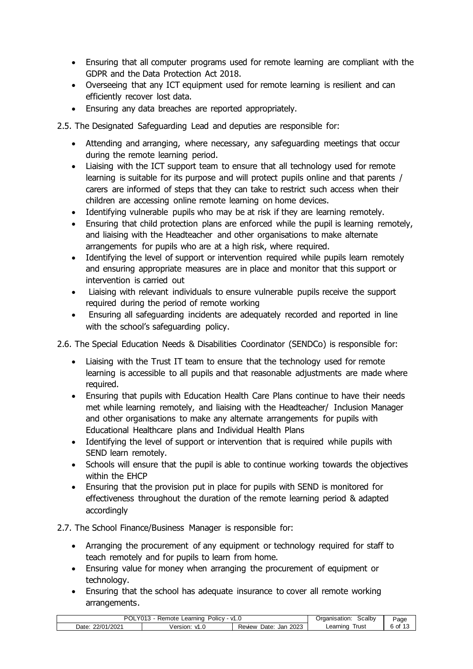- Ensuring that all computer programs used for remote learning are compliant with the GDPR and the Data Protection Act 2018.
- Overseeing that any ICT equipment used for remote learning is resilient and can efficiently recover lost data.
- Ensuring any data breaches are reported appropriately.

2.5. The Designated Safeguarding Lead and deputies are responsible for:

- Attending and arranging, where necessary, any safeguarding meetings that occur during the remote learning period.
- Liaising with the ICT support team to ensure that all technology used for remote learning is suitable for its purpose and will protect pupils online and that parents / carers are informed of steps that they can take to restrict such access when their children are accessing online remote learning on home devices.
- Identifying vulnerable pupils who may be at risk if they are learning remotely.
- Ensuring that child protection plans are enforced while the pupil is learning remotely, and liaising with the Headteacher and other organisations to make alternate arrangements for pupils who are at a high risk, where required.
- Identifying the level of support or intervention required while pupils learn remotely and ensuring appropriate measures are in place and monitor that this support or intervention is carried out
- Liaising with relevant individuals to ensure vulnerable pupils receive the support required during the period of remote working
- Ensuring all safeguarding incidents are adequately recorded and reported in line with the school's safeguarding policy.

2.6. The Special Education Needs & Disabilities Coordinator (SENDCo) is responsible for:

- Liaising with the Trust IT team to ensure that the technology used for remote learning is accessible to all pupils and that reasonable adjustments are made where required.
- Ensuring that pupils with Education Health Care Plans continue to have their needs met while learning remotely, and liaising with the Headteacher/ Inclusion Manager and other organisations to make any alternate arrangements for pupils with Educational Healthcare plans and Individual Health Plans
- Identifying the level of support or intervention that is required while pupils with SEND learn remotely.
- Schools will ensure that the pupil is able to continue working towards the objectives within the EHCP
- Ensuring that the provision put in place for pupils with SEND is monitored for effectiveness throughout the duration of the remote learning period & adapted accordingly

#### 2.7. The School Finance/Business Manager is responsible for:

- Arranging the procurement of any equipment or technology required for staff to teach remotely and for pupils to learn from home.
- Ensuring value for money when arranging the procurement of equipment or technology.
- Ensuring that the school has adequate insurance to cover all remote working arrangements.

| DC<br>∟earnıno<br>Policy:<br>$\mathbf{v}$<br>Remote<br>UL.<br>U.<br>$\cdot$ |                       |                              | らcalbv<br>Organisation: | ، صد<br>ъu |
|-----------------------------------------------------------------------------|-----------------------|------------------------------|-------------------------|------------|
| '2021<br>22/01<br>Date                                                      | Version.<br>v<br>ں. ا | 2023<br>Date<br>Jan<br>Revew | l rus:<br>Learning      | οt         |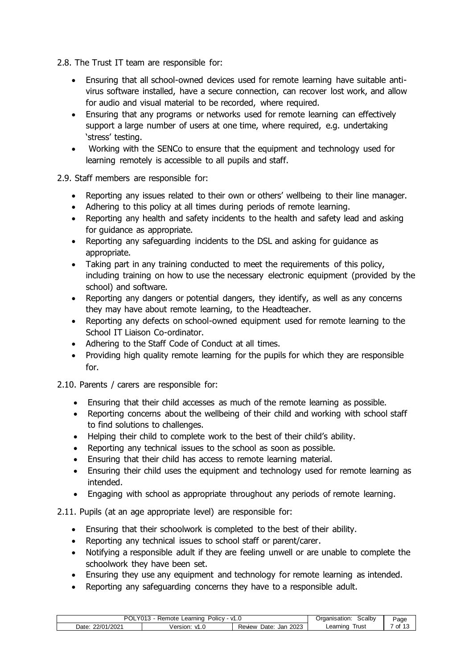2.8. The Trust IT team are responsible for:

- Ensuring that all school-owned devices used for remote learning have suitable antivirus software installed, have a secure connection, can recover lost work, and allow for audio and visual material to be recorded, where required.
- Ensuring that any programs or networks used for remote learning can effectively support a large number of users at one time, where required, e.g. undertaking 'stress' testing.
- Working with the SENCo to ensure that the equipment and technology used for learning remotely is accessible to all pupils and staff.

2.9. Staff members are responsible for:

- Reporting any issues related to their own or others' wellbeing to their line manager.
- Adhering to this policy at all times during periods of remote learning.
- Reporting any health and safety incidents to the health and safety lead and asking for guidance as appropriate.
- Reporting any safeguarding incidents to the DSL and asking for guidance as appropriate.
- Taking part in any training conducted to meet the requirements of this policy, including training on how to use the necessary electronic equipment (provided by the school) and software.
- Reporting any dangers or potential dangers, they identify, as well as any concerns they may have about remote learning, to the Headteacher.
- Reporting any defects on school-owned equipment used for remote learning to the School IT Liaison Co-ordinator.
- Adhering to the Staff Code of Conduct at all times.
- Providing high quality remote learning for the pupils for which they are responsible for.

2.10. Parents / carers are responsible for:

- Ensuring that their child accesses as much of the remote learning as possible.
- Reporting concerns about the wellbeing of their child and working with school staff to find solutions to challenges.
- Helping their child to complete work to the best of their child's ability.
- Reporting any technical issues to the school as soon as possible.
- Ensuring that their child has access to remote learning material.
- Ensuring their child uses the equipment and technology used for remote learning as intended.
- Engaging with school as appropriate throughout any periods of remote learning.

2.11. Pupils (at an age appropriate level) are responsible for:

- Ensuring that their schoolwork is completed to the best of their ability.
- Reporting any technical issues to school staff or parent/carer.
- Notifying a responsible adult if they are feeling unwell or are unable to complete the schoolwork they have been set.
- Ensuring they use any equipment and technology for remote learning as intended.
- Reporting any safeguarding concerns they have to a responsible adult.

| מם<br>emote<br>∟earning<br>Policy<br>. .<br>$\mathbf{v}$<br>151<br>$\cdot$<br>.<br>__ |                                         |                                    | .calbvٽ<br>Draanisation | Page     |
|---------------------------------------------------------------------------------------|-----------------------------------------|------------------------------------|-------------------------|----------|
| 1/2021<br>22/01/<br>Date                                                              | <b>Jers</b><br>rsion:<br>$\cdot$<br>ט.ו | 2023<br>-<br>Date:<br>Jan<br>Revew | ∣rust<br>Learning       | Οt<br>٠. |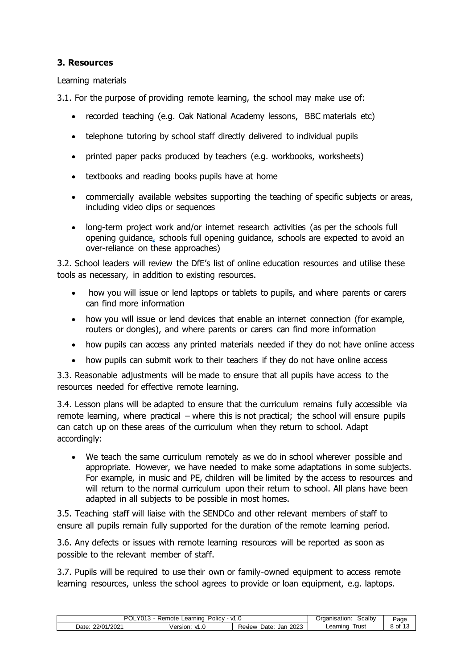#### <span id="page-7-0"></span>**3. Resources**

Learning materials

3.1. For the purpose of providing remote learning, the school may make use of:

- recorded teaching (e.g. Oak National Academy lessons, BBC materials etc)
- telephone tutoring by school staff directly delivered to individual pupils
- printed paper packs produced by teachers (e.g. workbooks, worksheets)
- textbooks and reading books pupils have at home
- commercially available websites supporting the teaching of specific subjects or areas, including video clips or sequences
- long-term project work and/or internet research activities (as per the [schools full](https://www.gov.uk/government/publications/actions-for-schools-during-the-coronavirus-outbreak/guidance-for-full-opening-schools#res)  [opening guidance,](https://www.gov.uk/government/publications/actions-for-schools-during-the-coronavirus-outbreak/guidance-for-full-opening-schools#res) schools full opening guidance, schools are expected to avoid an over-reliance on these approaches)

3.2. School leaders will review the DfE's list of online education resources and utilise these tools as necessary, in addition to existing resources.

- how you will issue or lend laptops or tablets to pupils, and where parents or carers can find more information
- how you will issue or lend devices that enable an internet connection (for example, routers or dongles), and where parents or carers can find more information
- how pupils can access any printed materials needed if they do not have online access
- how pupils can submit work to their teachers if they do not have online access

3.3. Reasonable adjustments will be made to ensure that all pupils have access to the resources needed for effective remote learning.

3.4. Lesson plans will be adapted to ensure that the curriculum remains fully accessible via remote learning, where practical – where this is not practical; the school will ensure pupils can catch up on these areas of the curriculum when they return to school. Adapt accordingly:

 We teach the same curriculum remotely as we do in school wherever possible and appropriate. However, we have needed to make some adaptations in some subjects. For example, in music and PE, children will be limited by the access to resources and will return to the normal curriculum upon their return to school. All plans have been adapted in all subjects to be possible in most homes.

3.5. Teaching staff will liaise with the SENDCo and other relevant members of staff to ensure all pupils remain fully supported for the duration of the remote learning period.

3.6. Any defects or issues with remote learning resources will be reported as soon as possible to the relevant member of staff.

3.7. Pupils will be required to use their own or family-owned equipment to access remote learning resources, unless the school agrees to provide or loan equipment, e.g. laptops.

| י וחם<br>1012<br><br>Policy<br>Learning<br>Remote<br>ี ∨1.⊾<br>- ∟∟<br>U I O |                                |                               | Scalby<br>Organisation: | Page      |
|------------------------------------------------------------------------------|--------------------------------|-------------------------------|-------------------------|-----------|
| $'$ /2021<br>22/01/<br>Date:                                                 | /ersion:<br>۱n<br><b>vi.</b> U | 2023<br>Date:<br>Jan<br>Revew | Irust<br>Learning       | .<br>8 of |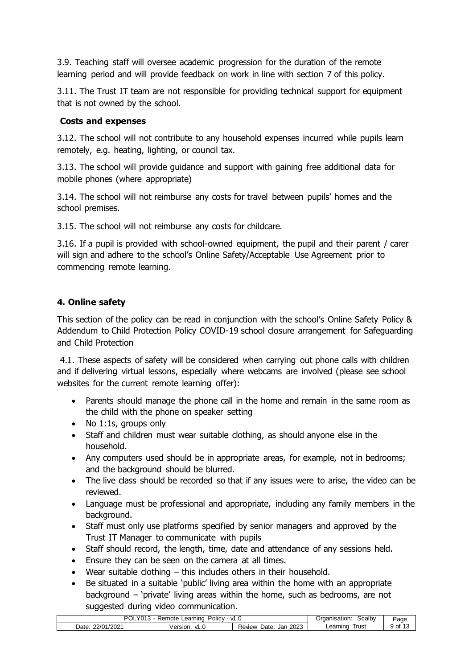3.9. Teaching staff will oversee academic progression for the duration of the remote learning period and will provide feedback on work in line with section 7 of this policy.

3.11. The Trust IT team are not responsible for providing technical support for equipment that is not owned by the school.

#### **Costs and expenses**

3.12. The school will not contribute to any household expenses incurred while pupils learn remotely, e.g. heating, lighting, or council tax.

3.13. The school will provide guidance and support with gaining free additional data for mobile phones (where appropriate)

3.14. The school will not reimburse any costs for travel between pupils' homes and the school premises.

3.15. The school will not reimburse any costs for childcare.

3.16. If a pupil is provided with school-owned equipment, the pupil and their parent / carer will sign and adhere to the school's Online Safety/Acceptable Use Agreement prior to commencing remote learning.

#### <span id="page-8-0"></span>**4. Online safety**

This section of the policy can be read in conjunction with the school's Online Safety Policy & Addendum to Child Protection Policy COVID-19 school closure arrangement for Safeguarding and Child Protection

4.1. These aspects of safety will be considered when carrying out phone calls with children and if delivering virtual lessons, especially where webcams are involved (please see school websites for the current remote learning offer):

- Parents should manage the phone call in the home and remain in the same room as the child with the phone on speaker setting
- No 1:1s, groups only
- Staff and children must wear suitable clothing, as should anyone else in the household.
- Any computers used should be in appropriate areas, for example, not in bedrooms; and the background should be blurred.
- The live class should be recorded so that if any issues were to arise, the video can be reviewed.
- Language must be professional and appropriate, including any family members in the background.
- Staff must only use platforms specified by senior managers and approved by the Trust IT Manager to communicate with pupils
- Staff should record, the length, time, date and attendance of any sessions held.
- Ensure they can be seen on the camera at all times.
- Wear suitable clothing this includes others in their household.
- Be situated in a suitable 'public' living area within the home with an appropriate background – 'private' living areas within the home, such as bedrooms, are not suggested during video communication.

| /2021<br>2023<br>22/01.<br><b>rust</b><br>Learning<br>Date<br>Date:<br>Jar<br>Version.<br>Revew<br>$\cdot$<br>U<br><br><b>vi.</b> v | PС<br>∟earnino<br>™ote<br>v<br>Policy:<br>UL.<br>151<br>ن ۱۰<br>$\mathbf{u}$ |  |  | Scalbv<br>Organisation: | ≌age |
|-------------------------------------------------------------------------------------------------------------------------------------|------------------------------------------------------------------------------|--|--|-------------------------|------|
|                                                                                                                                     |                                                                              |  |  |                         |      |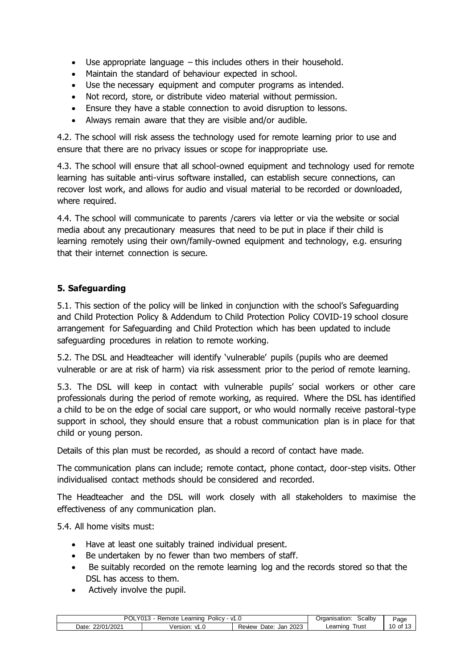- Use appropriate language this includes others in their household.
- Maintain the standard of behaviour expected in school.
- Use the necessary equipment and computer programs as intended.
- Not record, store, or distribute video material without permission.
- Ensure they have a stable connection to avoid disruption to lessons.
- Always remain aware that they are visible and/or audible.

4.2. The school will risk assess the technology used for remote learning prior to use and ensure that there are no privacy issues or scope for inappropriate use.

4.3. The school will ensure that all school-owned equipment and technology used for remote learning has suitable anti-virus software installed, can establish secure connections, can recover lost work, and allows for audio and visual material to be recorded or downloaded, where required.

4.4. The school will communicate to parents /carers via letter or via the website or social media about any precautionary measures that need to be put in place if their child is learning remotely using their own/family-owned equipment and technology, e.g. ensuring that their internet connection is secure.

#### <span id="page-9-0"></span>**5. Safeguarding**

5.1. This section of the policy will be linked in conjunction with the school's Safeguarding and Child Protection Policy & Addendum to Child Protection Policy COVID-19 school closure arrangement for Safeguarding and Child Protection which has been updated to include safeguarding procedures in relation to remote working.

5.2. The DSL and Headteacher will identify 'vulnerable' pupils (pupils who are deemed vulnerable or are at risk of harm) via risk assessment prior to the period of remote learning.

5.3. The DSL will keep in contact with vulnerable pupils' social workers or other care professionals during the period of remote working, as required. Where the DSL has identified a child to be on the edge of social care support, or who would normally receive pastoral-type support in school, they should ensure that a robust communication plan is in place for that child or young person.

Details of this plan must be recorded, as should a record of contact have made.

The communication plans can include; remote contact, phone contact, door-step visits. Other individualised contact methods should be considered and recorded.

The Headteacher and the DSL will work closely with all stakeholders to maximise the effectiveness of any communication plan.

5.4. All home visits must:

- Have at least one suitably trained individual present.
- Be undertaken by no fewer than two members of staff.
- Be suitably recorded on the remote learning log and the records stored so that the DSL has access to them.
- Actively involve the pupil.

| מח<br>Policv<br>Learning<br>v1.⊾<br>Remote<br>-UL |                         |                               | <b>Scalby</b><br>Irganisation.<br>Jr | Page          |
|---------------------------------------------------|-------------------------|-------------------------------|--------------------------------------|---------------|
| 1/2021<br>22/01<br>Date.                          | Version.<br>. n<br>VI.U | 2023<br>Date:<br>Revew<br>Jar | ˈrust<br>Learning                    | ot<br>v<br>۰. |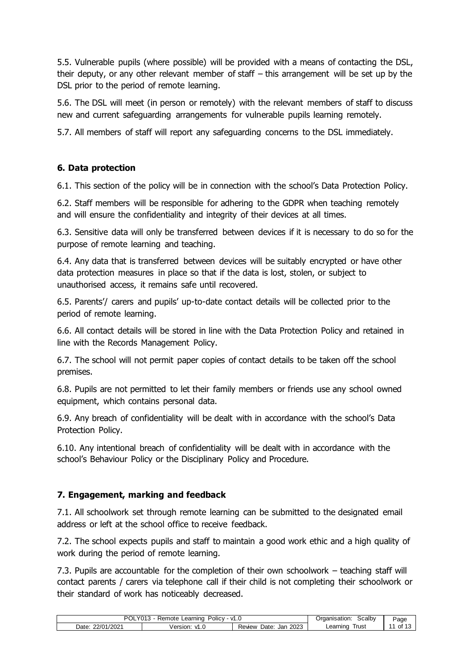5.5. Vulnerable pupils (where possible) will be provided with a means of contacting the DSL, their deputy, or any other relevant member of staff – this arrangement will be set up by the DSL prior to the period of remote learning.

5.6. The DSL will meet (in person or remotely) with the relevant members of staff to discuss new and current safeguarding arrangements for vulnerable pupils learning remotely.

5.7. All members of staff will report any safeguarding concerns to the DSL immediately.

#### <span id="page-10-0"></span>**6. Data protection**

6.1. This section of the policy will be in connection with the school's Data Protection Policy.

6.2. Staff members will be responsible for adhering to the GDPR when teaching remotely and will ensure the confidentiality and integrity of their devices at all times.

6.3. Sensitive data will only be transferred between devices if it is necessary to do so for the purpose of remote learning and teaching.

6.4. Any data that is transferred between devices will be suitably encrypted or have other data protection measures in place so that if the data is lost, stolen, or subject to unauthorised access, it remains safe until recovered.

6.5. Parents'/ carers and pupils' up-to-date contact details will be collected prior to the period of remote learning.

6.6. All contact details will be stored in line with the Data Protection Policy and retained in line with the Records Management Policy.

6.7. The school will not permit paper copies of contact details to be taken off the school premises.

6.8. Pupils are not permitted to let their family members or friends use any school owned equipment, which contains personal data.

6.9. Any breach of confidentiality will be dealt with in accordance with the school's Data Protection Policy.

6.10. Any intentional breach of confidentiality will be dealt with in accordance with the school's Behaviour Policy or the Disciplinary Policy and Procedure.

#### <span id="page-10-1"></span>**7. Engagement, marking and feedback**

7.1. All schoolwork set through remote learning can be submitted to the designated email address or left at the school office to receive feedback.

7.2. The school expects pupils and staff to maintain a good work ethic and a high quality of work during the period of remote learning.

7.3. Pupils are accountable for the completion of their own schoolwork – teaching staff will contact parents / carers via telephone call if their child is not completing their schoolwork or their standard of work has noticeably decreased.

| וחם<br>∟earnıng<br>olicv-<br>— ∨1.∪<br>emote<br>ுபட<br>U I J<br>151 |                   |                              | <b>Scalby</b><br>Irganisation: | ⊃age      |
|---------------------------------------------------------------------|-------------------|------------------------------|--------------------------------|-----------|
| 12021<br>22/01<br>Date:                                             | Version.<br>ں . ا | 2023<br>Date<br>Jan<br>Revew | l rus:<br>Learning             | ot<br>ں ا |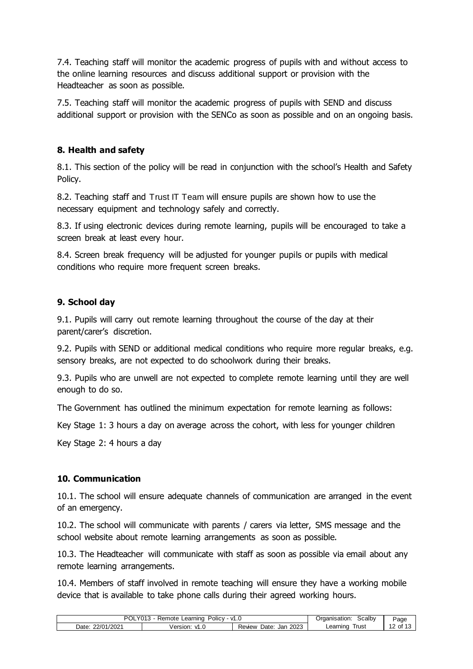7.4. Teaching staff will monitor the academic progress of pupils with and without access to the online learning resources and discuss additional support or provision with the Headteacher as soon as possible.

7.5. Teaching staff will monitor the academic progress of pupils with SEND and discuss additional support or provision with the SENCo as soon as possible and on an ongoing basis.

#### <span id="page-11-0"></span>**8. Health and safety**

8.1. This section of the policy will be read in conjunction with the school's Health and Safety Policy.

8.2. Teaching staff and Trust IT Team will ensure pupils are shown how to use the necessary equipment and technology safely and correctly.

8.3. If using electronic devices during remote learning, pupils will be encouraged to take a screen break at least every hour.

8.4. Screen break frequency will be adjusted for younger pupils or pupils with medical conditions who require more frequent screen breaks.

#### <span id="page-11-1"></span>**9. School day**

9.1. Pupils will carry out remote learning throughout the course of the day at their parent/carer's discretion.

9.2. Pupils with SEND or additional medical conditions who require more regular breaks, e.g. sensory breaks, are not expected to do schoolwork during their breaks.

9.3. Pupils who are unwell are not expected to complete remote learning until they are well enough to do so.

The Government has outlined the minimum expectation for remote learning as follows:

Key Stage 1: 3 hours a day on average across the cohort, with less for younger children

Key Stage 2: 4 hours a day

#### <span id="page-11-2"></span>**10. Communication**

10.1. The school will ensure adequate channels of communication are arranged in the event of an emergency.

10.2. The school will communicate with parents / carers via letter, SMS message and the school website about remote learning arrangements as soon as possible.

10.3. The Headteacher will communicate with staff as soon as possible via email about any remote learning arrangements.

10.4. Members of staff involved in remote teaching will ensure they have a working mobile device that is available to take phone calls during their agreed working hours.

| Y <sub>013</sub><br>PO'<br>∟earning<br>V1.0<br>⊀emote<br>olicv-<br>`YOL. |                 | Scalby<br>)rganisation:      | ⊃age               |                                         |
|--------------------------------------------------------------------------|-----------------|------------------------------|--------------------|-----------------------------------------|
| 12021<br>22/01<br>Date:                                                  | Version.<br>ں . | 2023<br>Date<br>Revew<br>Jan | l rus:<br>Learning | $\overline{a}$<br>ot<br>ں ا<br><u>_</u> |